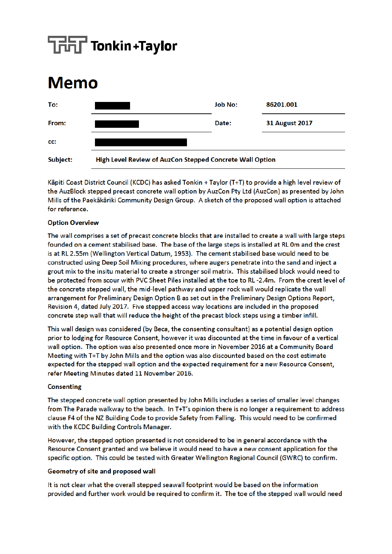# $\overline{\mathbf{H}}$  Tonkin+Taylor

## **Memo**



Käpiti Coast District Council (KCDC) has asked Tonkin + Taylor (T+T) to provide a high level review of the AuzBlock stepped precast concrete wall option by AuzCon Pty Ltd (AuzCon) as presented by John Mills of the Paekākāriki Community Design Group. A sketch of the proposed wall option is attached for reference.

#### **Option Overview**

The wall comprises a set of precast concrete blocks that are installed to create a wall with large steps founded on a cement stabilised base. The base of the large steps is installed at RL 0m and the crest is at RL 2.55m (Wellington Vertical Datum, 1953). The cement stabilised base would need to be constructed using Deep Soil Mixing procedures, where augers penetrate into the sand and inject a grout mix to the insitu material to create a stronger soil matrix. This stabilised block would need to be protected from scour with PVC Sheet Piles installed at the toe to RL-2.4m. From the crest level of the concrete stepped wall, the mid-level pathway and upper rock wall would replicate the wall arrangement for Preliminary Design Option B as set out in the Preliminary Design Options Report, Revision 4, dated July 2017. Five stepped access way locations are included in the proposed concrete step wall that will reduce the height of the precast block steps using a timber infill.

This wall design was considered (by Beca, the consenting consultant) as a potential design option prior to lodging for Resource Consent, however it was discounted at the time in favour of a vertical wall option. The option was also presented once more in November 2016 at a Community Board Meeting with T+T by John Mills and the option was also discounted based on the cost estimate expected for the stepped wall option and the expected requirement for a new Resource Consent. refer Meeting Minutes dated 11 November 2016.

#### **Consenting**

The stepped concrete wall option presented by John Mills includes a series of smaller level changes from The Parade walkway to the beach. In T+T's opinion there is no longer a requirement to address clause F4 of the NZ Building Code to provide Safety from Falling. This would need to be confirmed with the KCDC Building Controls Manager.

However, the stepped option presented is not considered to be in general accordance with the Resource Consent granted and we believe it would need to have a new consent application for the specific option. This could be tested with Greater Wellington Regional Council (GWRC) to confirm.

#### Geometry of site and proposed wall

It is not clear what the overall stepped seawall footprint would be based on the information provided and further work would be required to confirm it. The toe of the stepped wall would need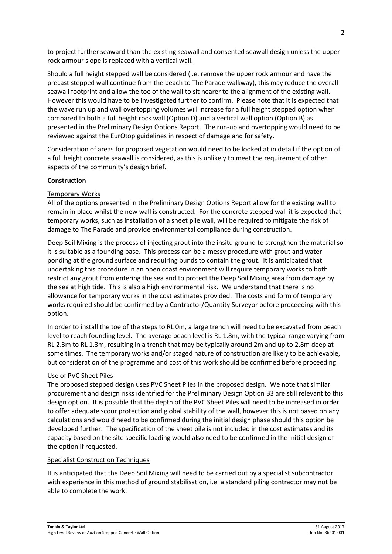to project further seaward than the existing seawall and consented seawall design unless the upper rock armour slope is replaced with a vertical wall.

Should a full height stepped wall be considered (i.e. remove the upper rock armour and have the precast stepped wall continue from the beach to The Parade walkway), this may reduce the overall seawall footprint and allow the toe of the wall to sit nearer to the alignment of the existing wall. However this would have to be investigated further to confirm. Please note that it is expected that the wave run up and wall overtopping volumes will increase for a full height stepped option when compared to both a full height rock wall (Option D) and a vertical wall option (Option B) as presented in the Preliminary Design Options Report. The run-up and overtopping would need to be reviewed against the EurOtop guidelines in respect of damage and for safety.

Consideration of areas for proposed vegetation would need to be looked at in detail if the option of a full height concrete seawall is considered, as this is unlikely to meet the requirement of other aspects of the community's design brief.

### **Construction**

### Temporary Works

All of the options presented in the Preliminary Design Options Report allow for the existing wall to remain in place whilst the new wall is constructed. For the concrete stepped wall it is expected that temporary works, such as installation of a sheet pile wall, will be required to mitigate the risk of damage to The Parade and provide environmental compliance during construction.

Deep Soil Mixing is the process of injecting grout into the insitu ground to strengthen the material so it is suitable as a founding base. This process can be a messy procedure with grout and water ponding at the ground surface and requiring bunds to contain the grout. It is anticipated that undertaking this procedure in an open coast environment will require temporary works to both restrict any grout from entering the sea and to protect the Deep Soil Mixing area from damage by the sea at high tide. This is also a high environmental risk. We understand that there is no allowance for temporary works in the cost estimates provided. The costs and form of temporary works required should be confirmed by a Contractor/Quantity Surveyor before proceeding with this option.

In order to install the toe of the steps to RL 0m, a large trench will need to be excavated from beach level to reach founding level. The average beach level is RL 1.8m, with the typical range varying from RL 2.3m to RL 1.3m, resulting in a trench that may be typically around 2m and up to 2.8m deep at some times. The temporary works and/or staged nature of construction are likely to be achievable, but consideration of the programme and cost of this work should be confirmed before proceeding.

### Use of PVC Sheet Piles

The proposed stepped design uses PVC Sheet Piles in the proposed design. We note that similar procurement and design risks identified for the Preliminary Design Option B3 are still relevant to this design option. It is possible that the depth of the PVC Sheet Piles will need to be increased in order to offer adequate scour protection and global stability of the wall, however this is not based on any calculations and would need to be confirmed during the initial design phase should this option be developed further. The specification of the sheet pile is not included in the cost estimates and its capacity based on the site specific loading would also need to be confirmed in the initial design of the option if requested.

### Specialist Construction Techniques

It is anticipated that the Deep Soil Mixing will need to be carried out by a specialist subcontractor with experience in this method of ground stabilisation, i.e. a standard piling contractor may not be able to complete the work.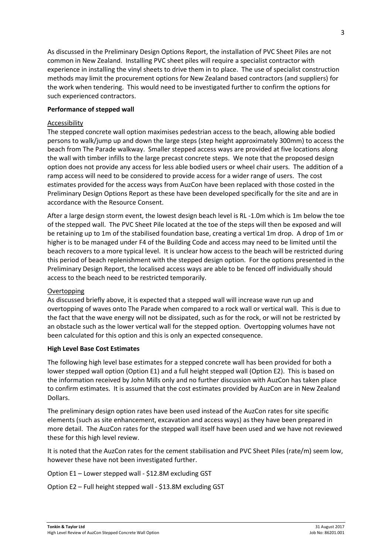As discussed in the Preliminary Design Options Report, the installation of PVC Sheet Piles are not common in New Zealand. Installing PVC sheet piles will require a specialist contractor with experience in installing the vinyl sheets to drive them in to place. The use of specialist construction methods may limit the procurement options for New Zealand based contractors (and suppliers) for the work when tendering. This would need to be investigated further to confirm the options for such experienced contractors.

### **Performance of stepped wall**

#### Accessibility

The stepped concrete wall option maximises pedestrian access to the beach, allowing able bodied persons to walk/jump up and down the large steps (step height approximately 300mm) to access the beach from The Parade walkway. Smaller stepped access ways are provided at five locations along the wall with timber infills to the large precast concrete steps. We note that the proposed design option does not provide any access for less able bodied users or wheel chair users. The addition of a ramp access will need to be considered to provide access for a wider range of users. The cost estimates provided for the access ways from AuzCon have been replaced with those costed in the Preliminary Design Options Report as these have been developed specifically for the site and are in accordance with the Resource Consent.

After a large design storm event, the lowest design beach level is RL -1.0m which is 1m below the toe of the stepped wall. The PVC Sheet Pile located at the toe of the steps will then be exposed and will be retaining up to 1m of the stabilised foundation base, creating a vertical 1m drop. A drop of 1m or higher is to be managed under F4 of the Building Code and access may need to be limited until the beach recovers to a more typical level. It is unclear how access to the beach will be restricted during this period of beach replenishment with the stepped design option. For the options presented in the Preliminary Design Report, the localised access ways are able to be fenced off individually should access to the beach need to be restricted temporarily.

#### **Overtopping**

As discussed briefly above, it is expected that a stepped wall will increase wave run up and overtopping of waves onto The Parade when compared to a rock wall or vertical wall. This is due to the fact that the wave energy will not be dissipated, such as for the rock, or will not be restricted by an obstacle such as the lower vertical wall for the stepped option. Overtopping volumes have not been calculated for this option and this is only an expected consequence.

#### **High Level Base Cost Estimates**

The following high level base estimates for a stepped concrete wall has been provided for both a lower stepped wall option (Option E1) and a full height stepped wall (Option E2). This is based on the information received by John Mills only and no further discussion with AuzCon has taken place to confirm estimates. It is assumed that the cost estimates provided by AuzCon are in New Zealand Dollars.

The preliminary design option rates have been used instead of the AuzCon rates for site specific elements (such as site enhancement, excavation and access ways) as they have been prepared in more detail. The AuzCon rates for the stepped wall itself have been used and we have not reviewed these for this high level review.

It is noted that the AuzCon rates for the cement stabilisation and PVC Sheet Piles (rate/m) seem low, however these have not been investigated further.

Option E1 – Lower stepped wall - \$12.8M excluding GST

Option E2 – Full height stepped wall - \$13.8M excluding GST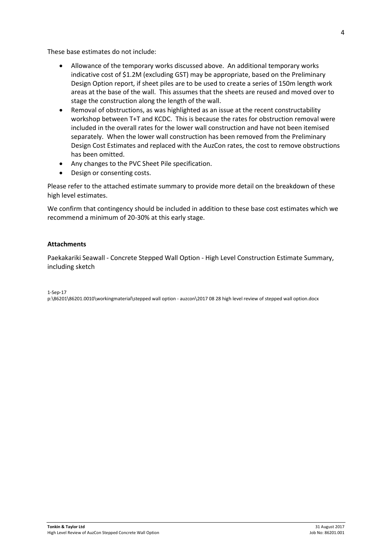These base estimates do not include:

- Allowance of the temporary works discussed above. An additional temporary works indicative cost of \$1.2M (excluding GST) may be appropriate, based on the Preliminary Design Option report, if sheet piles are to be used to create a series of 150m length work areas at the base of the wall. This assumes that the sheets are reused and moved over to stage the construction along the length of the wall.
- Removal of obstructions, as was highlighted as an issue at the recent constructability workshop between T+T and KCDC. This is because the rates for obstruction removal were included in the overall rates for the lower wall construction and have not been itemised separately. When the lower wall construction has been removed from the Preliminary Design Cost Estimates and replaced with the AuzCon rates, the cost to remove obstructions has been omitted.
- Any changes to the PVC Sheet Pile specification.
- Design or consenting costs.

Please refer to the attached estimate summary to provide more detail on the breakdown of these high level estimates.

We confirm that contingency should be included in addition to these base cost estimates which we recommend a minimum of 20-30% at this early stage.

#### **Attachments**

Paekakariki Seawall - Concrete Stepped Wall Option - High Level Construction Estimate Summary, including sketch

1-Sep-17

p:\86201\86201.0010\workingmaterial\stepped wall option - auzcon\2017 08 28 high level review of stepped wall option.docx